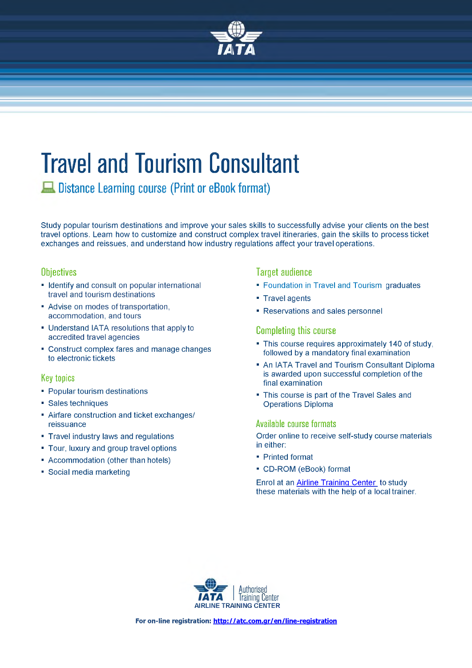

# **Travel and Tourism Consultant**

**Distance Learning course (Print or eBook format)**

Study popular tourism destinations and improve your sales skills to successfully advise your clients on the best travel options. Learn how to customize and construct complex travel itineraries, gain the skills to process ticket exchanges and reissues, and understand how industry regulations affect your travel operations.

#### **Objectives**

- Identify and consult on popular international travel and tourism destinations
- Advise on modes of transportation, accommodation, and tours
- Understand IATA resolutions that apply to accredited travel agencies
- Construct complex fares and manage changes to electronic tickets

#### **Key topics**

- Popular tourism destinations
- Sales techniques
- Airfare construction and ticket exchanges/ reissuance
- Travel industry laws and regulations
- Tour, luxury and group travel options
- Accommodation (other than hotels)
- Social media marketing

### **Target audience**

- Foundation in Travel and Tourism graduates
- Travel agents
- Reservations and sales personnel

#### **Completing this course**

- This course requires approximately 140 of study, followed by a mandatory final examination
- An IATA Travel and Tourism Consultant Diploma is awarded upon successful completion of the final examination
- This course is part of the Travel Sales and Operations Diploma

#### **Available course formats**

Order online to receive self-study course materials in either:

- Printed format
- CD-ROM (eBook) format

Enrol at an [Airline Training Center](http://atc.com.gr/en/line-registration) to study these materials with the help of a local trainer.

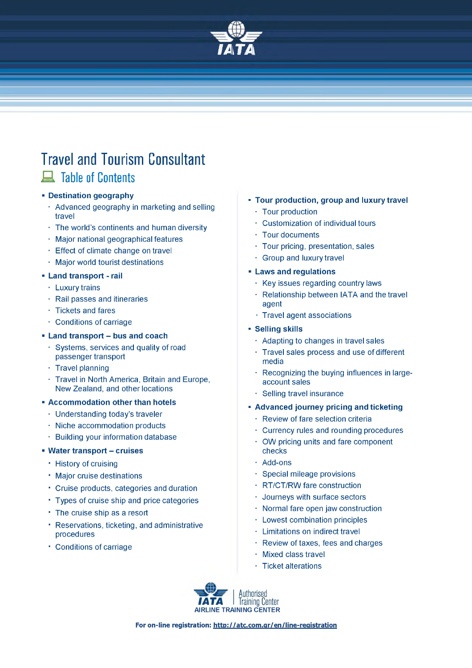

## **Travel and Tourism Consultant A** Table of Contents

#### **Destination geography**

- Advanced geography in marketing and selling travel
- The world's continents and human diversity
- Major national geographical features
- Effect of climate change on travel
- Major world tourist destinations

#### **Land transport - rail**

- Luxury trains
- Rail passes and itineraries
- Tickets and fares
- Conditions of carriage

#### **Land transport - bus and coach**

- Systems, services and quality of road passenger transport
- $\cdot$  Travel planning
- Travel in North America, Britain and Europe, New Zealand, and other locations
- **Accommodation other than hotels**
	- $\cdot$  Understanding today's traveler
	- Niche accommodation products
	- $\cdot$  Building your information database

#### **Water transport - cruises**

- History of cruising
- Major cruise destinations
- Cruise products, categories and duration
- Types of cruise ship and price categories
- The cruise ship as a resort
- Reservations, ticketing, and administrative procedures
- Conditions of carriage
- **Tour production, group and luxury travel**
	- Tour production
	- Customization of individual tours
	- Tour documents
	- Tour pricing, presentation, sales
	- Group and luxury travel

#### **Laws and regulations**

- $\cdot$  Key issues regarding country laws
- $\cdot$  Relationship between IATA and the travel agent
- Travel agent associations

#### **- Selling skills**

- $\cdot$  Adapting to changes in travel sales
- Travel sales process and use of different media
- Recognizing the buying influences in largeaccount sales
- Selling travel insurance
- **Advanced journey pricing and ticketing**
	- Review of fare selection criteria
	- Currency rules and rounding procedures
	- OW pricing units and fare component checks
	- Add-ons
	- Special mileage provisions
	- RT/CT/RW fare construction
	- Journeys with surface sectors
	- Normal fare open jaw construction
	- Lowest combination principles
	- Limitations on indirect travel
	- Review of taxes, fees and charges
	- Mixed class travel
	- Ticket alterations